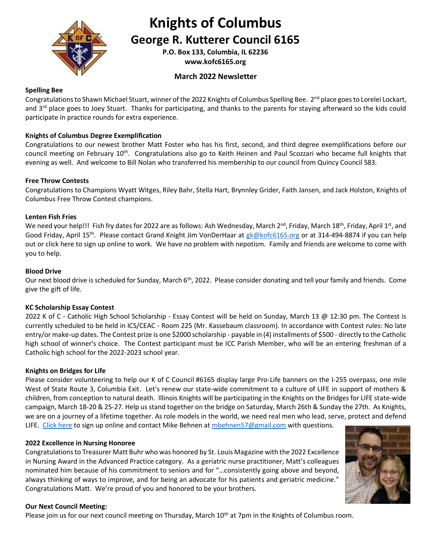

## **Knights of Columbus**

## **George R. Kutterer Council 6165**

**P.O. Box 133, Columbia, IL 62236 www.kofc6165.org**

#### **March 2022 Newsletter**

#### **Spelling Bee**

Congratulations to Shawn Michael Stuart, winner of the 2022 Knights of Columbus Spelling Bee. 2<sup>nd</sup> place goes to Lorelei Lockart, and 3<sup>rd</sup> place goes to Joey Stuart. Thanks for participating, and thanks to the parents for staying afterward so the kids could participate in practice rounds for extra experience.

#### **Knights of Columbus Degree Exemplification**

Congratulations to our newest brother Matt Foster who has his first, second, and third degree exemplifications before our council meeting on February 10<sup>th</sup>. Congratulations also go to Keith Heinen and Paul Scozzari who became full knights that evening as well. And welcome to Bill Nolan who transferred his membership to our council from Quincy Council 583.

#### **Free Throw Contests**

Congratulations to Champions Wyatt Witges, Riley Bahr, Stella Hart, Brynnley Grider, Faith Jansen, and Jack Holston, Knights of Columbus Free Throw Contest champions.

#### **Lenten Fish Fries**

We need your help!!! Fish fry dates for 2022 are as follows: Ash Wednesday, March 2<sup>nd</sup>, Friday, March 18<sup>th</sup>, Friday, April 1st, and Good Friday, April 15<sup>th</sup>. Please contact Grand Knight Jim VonDerHaar at [gk@kofc6165.org](mailto:gk@kofc6165.org) or at 314-494-8874 if you can help out or click here to sign up online to work. We have no problem with nepotism. Family and friends are welcome to come with you to help.

#### **Blood Drive**

Our next blood drive is scheduled for Sunday, March 6<sup>th</sup>, 2022. Please consider donating and tell your family and friends. Come give the gift of life.

#### **KC Scholarship Essay Contest**

2022 K of C - Catholic High School Scholarship - Essay Contest will be held on Sunday, March 13 @ 12:30 pm. The Contest is currently scheduled to be held in ICS/CEAC - Room 225 (Mr. Kassebaum classroom). In accordance with Contest rules: No late entry/or make-up dates. The Contest prize is one \$2000 scholarship - payable in (4) installments of \$500 - directly to the Catholic high school of winner's choice. The Contest participant must be ICC Parish Member, who will be an entering freshman of a Catholic high school for the 2022-2023 school year.

#### **Knights on Bridges for Life**

Please consider volunteering to help our K of C Council #6165 display large Pro-Life banners on the I-255 overpass, one mile West of State Route 3, Columbia Exit. Let's renew our state-wide commitment to a culture of LIFE in support of mothers & children, from conception to natural death. Illinois Knights will be participating in the Knights on the Bridges for LIFE state-wide campaign, March 18-20 & 25-27. Help us stand together on the bridge on Saturday, March 26th & Sunday the 27th. As Knights, we are on a journey of a lifetime together. As role models in the world, we need real men who lead, serve, protect and defend LIFE. [Click here](https://docs.google.com/spreadsheets/d/1XH8uLZteH6emFXoUID_T8Rqic8JSmKPUgWltZ1TUEB0/edit?usp=sharing) to sign up online and contact Mike Behnen at [mbehnen57@gmail.com](mailto:mbehnen57@gmail.com) with questions.

#### **2022 Excellence in Nursing Honoree**

Congratulations to Treasurer Matt Buhr who was honored by St. Louis Magazine with the 2022 Excellence in Nursing Award in the Advanced Practice category. As a geriatric nurse practitioner, Matt's colleagues nominated him because of his commitment to seniors and for "…consistently going above and beyond, always thinking of ways to improve, and for being an advocate for his patients and geriatric medicine." Congratulations Matt. We're proud of you and honored to be your brothers.

#### **Our Next Council Meeting:**

Please join us for our next council meeting on Thursday, March 10<sup>th</sup> at 7pm in the Knights of Columbus room.